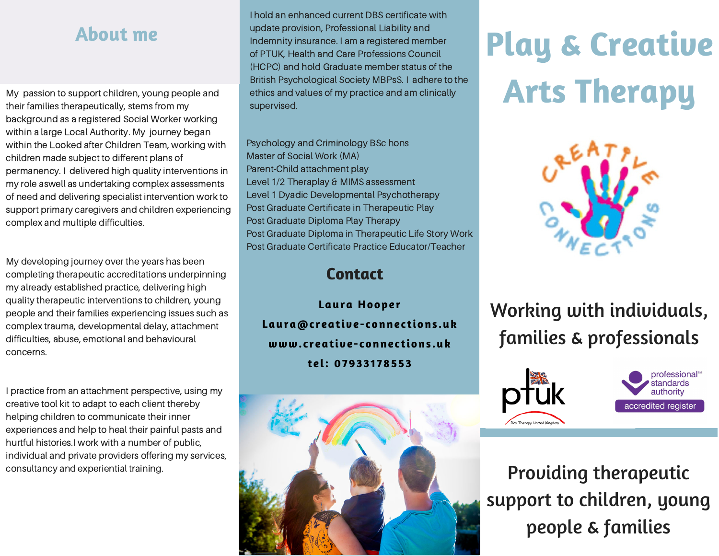# **About me**

My passion to support children, young people and their families therapeutically, stems from my background as a registered Social Worker working within a large Local Authority. My journey began within the Looked after Children Team, working with children made subject to different plans of permanency. I delivered high quality interventions in my role aswell as undertaking complex assessments of need and delivering specialist intervention work to support primary caregivers and children experiencing complex and multiple difficulties.

My developing journey over the years has been completing therapeutic accreditations underpinning my already established practice, delivering high quality therapeutic interventions to children, young people and their families experiencing issues such as complex trauma, developmental delay, attachment difficulties, abuse, emotional and behavioural concerns.

I practice from an attachment perspective, using my creative tool kit to adapt to each client thereby helping children to communicate their inner experiences and help to heal their painful pasts and hurtful histories.I work with a number of public, individual and private providers offering my services, consultancy and experiential training.

I hold an enhanced current DBS certificate with update provision, Professional Liability and Indemnity insurance. I am a registered member of PTUK, Health and Care Professions Council (HCPC) and hold Graduate member status of the British Psychological Society MBPsS. I adhere to the ethics and values of my practice and am clinically supervised.

Psychology and Criminology BSc hons Master of Social Work (MA) Parent-Child attachment play Level 1/2 Theraplay & MIMS assessment Level 1 Dyadic Developmental Psychotherapy Post Graduate Certificate in Therapeutic Play Post Graduate Diploma Play Therapy Post Graduate Diploma in Therapeutic Life Story Work Post Graduate Certificate Practice Educator/Teacher

#### **Contact**

**Laura Hooper Laura@c reative- connec tions .uk www. c reative- connec tions .uk tel: 079331 78553**



# **Play & Creative Arts Therapy**



# Working with individuals, families & professionals





Providing therapeutic support to children, young people & families